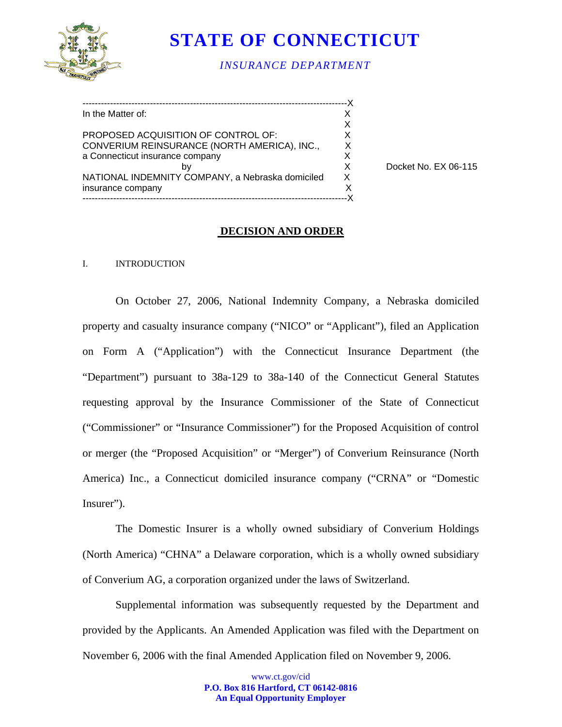

# **STATE OF CONNECTICUT**

*INSURANCE DEPARTMENT*

| In the Matter of:                                |    |
|--------------------------------------------------|----|
|                                                  |    |
| PROPOSED ACQUISITION OF CONTROL OF:              | X. |
| CONVERIUM REINSURANCE (NORTH AMERICA), INC.,     | X  |
| a Connecticut insurance company                  | X. |
| b٧                                               | X  |
| NATIONAL INDEMNITY COMPANY, a Nebraska domiciled | X. |
| insurance company                                | X  |
|                                                  |    |

Docket No. EX 06-115

### **DECISION AND ORDER**

#### I. INTRODUCTION

On October 27, 2006, National Indemnity Company, a Nebraska domiciled property and casualty insurance company ("NICO" or "Applicant"), filed an Application on Form A ("Application") with the Connecticut Insurance Department (the "Department") pursuant to 38a-129 to 38a-140 of the Connecticut General Statutes requesting approval by the Insurance Commissioner of the State of Connecticut ("Commissioner" or "Insurance Commissioner") for the Proposed Acquisition of control or merger (the "Proposed Acquisition" or "Merger") of Converium Reinsurance (North America) Inc., a Connecticut domiciled insurance company ("CRNA" or "Domestic Insurer").

The Domestic Insurer is a wholly owned subsidiary of Converium Holdings (North America) "CHNA" a Delaware corporation, which is a wholly owned subsidiary of Converium AG, a corporation organized under the laws of Switzerland.

Supplemental information was subsequently requested by the Department and provided by the Applicants. An Amended Application was filed with the Department on November 6, 2006 with the final Amended Application filed on November 9, 2006.

> www.ct.gov/cid **P.O. Box 816 Hartford, CT 06142-0816 An Equal Opportunity Employer**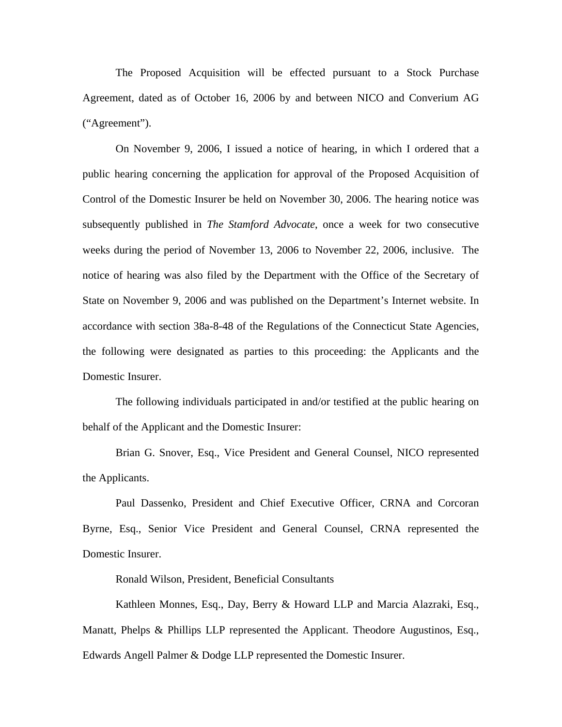The Proposed Acquisition will be effected pursuant to a Stock Purchase Agreement, dated as of October 16, 2006 by and between NICO and Converium AG ("Agreement").

On November 9, 2006, I issued a notice of hearing, in which I ordered that a public hearing concerning the application for approval of the Proposed Acquisition of Control of the Domestic Insurer be held on November 30, 2006. The hearing notice was subsequently published in *The Stamford Advocate*, once a week for two consecutive weeks during the period of November 13, 2006 to November 22, 2006, inclusive. The notice of hearing was also filed by the Department with the Office of the Secretary of State on November 9, 2006 and was published on the Department's Internet website. In accordance with section 38a-8-48 of the Regulations of the Connecticut State Agencies, the following were designated as parties to this proceeding: the Applicants and the Domestic Insurer.

The following individuals participated in and/or testified at the public hearing on behalf of the Applicant and the Domestic Insurer:

Brian G. Snover, Esq., Vice President and General Counsel, NICO represented the Applicants.

Paul Dassenko, President and Chief Executive Officer, CRNA and Corcoran Byrne, Esq., Senior Vice President and General Counsel, CRNA represented the Domestic Insurer.

Ronald Wilson, President, Beneficial Consultants

Kathleen Monnes, Esq., Day, Berry & Howard LLP and Marcia Alazraki, Esq., Manatt, Phelps & Phillips LLP represented the Applicant. Theodore Augustinos, Esq., Edwards Angell Palmer & Dodge LLP represented the Domestic Insurer.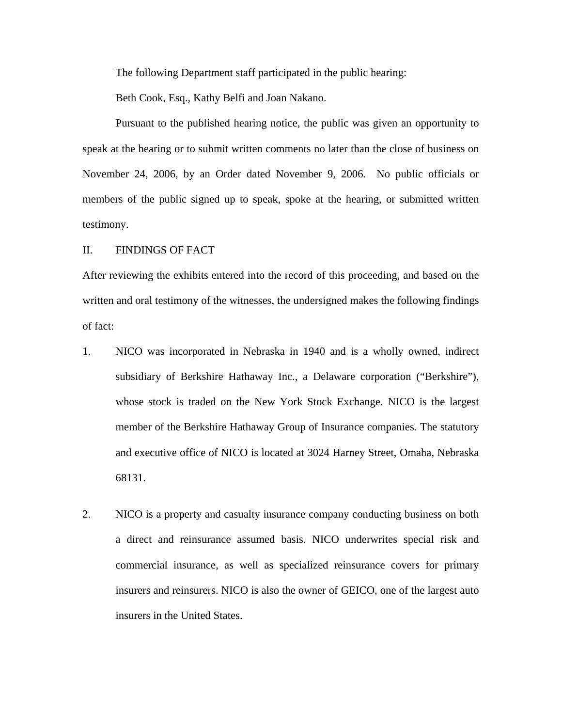The following Department staff participated in the public hearing:

Beth Cook, Esq., Kathy Belfi and Joan Nakano.

Pursuant to the published hearing notice, the public was given an opportunity to speak at the hearing or to submit written comments no later than the close of business on November 24, 2006, by an Order dated November 9, 2006. No public officials or members of the public signed up to speak, spoke at the hearing, or submitted written testimony.

### II. FINDINGS OF FACT

After reviewing the exhibits entered into the record of this proceeding, and based on the written and oral testimony of the witnesses, the undersigned makes the following findings of fact:

- 1. NICO was incorporated in Nebraska in 1940 and is a wholly owned, indirect subsidiary of Berkshire Hathaway Inc., a Delaware corporation ("Berkshire"), whose stock is traded on the New York Stock Exchange. NICO is the largest member of the Berkshire Hathaway Group of Insurance companies. The statutory and executive office of NICO is located at 3024 Harney Street, Omaha, Nebraska 68131.
- 2. NICO is a property and casualty insurance company conducting business on both a direct and reinsurance assumed basis. NICO underwrites special risk and commercial insurance, as well as specialized reinsurance covers for primary insurers and reinsurers. NICO is also the owner of GEICO, one of the largest auto insurers in the United States.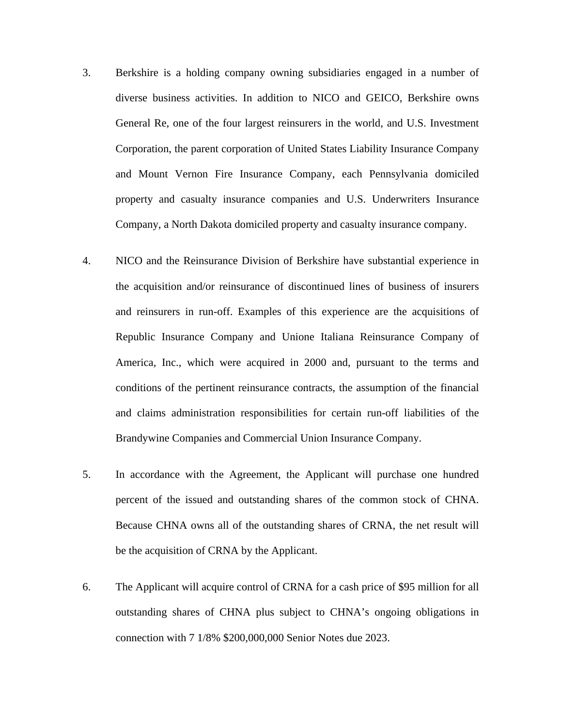- 3. Berkshire is a holding company owning subsidiaries engaged in a number of diverse business activities. In addition to NICO and GEICO, Berkshire owns General Re, one of the four largest reinsurers in the world, and U.S. Investment Corporation, the parent corporation of United States Liability Insurance Company and Mount Vernon Fire Insurance Company, each Pennsylvania domiciled property and casualty insurance companies and U.S. Underwriters Insurance Company, a North Dakota domiciled property and casualty insurance company.
- 4. NICO and the Reinsurance Division of Berkshire have substantial experience in the acquisition and/or reinsurance of discontinued lines of business of insurers and reinsurers in run-off. Examples of this experience are the acquisitions of Republic Insurance Company and Unione Italiana Reinsurance Company of America, Inc., which were acquired in 2000 and, pursuant to the terms and conditions of the pertinent reinsurance contracts, the assumption of the financial and claims administration responsibilities for certain run-off liabilities of the Brandywine Companies and Commercial Union Insurance Company.
- 5. In accordance with the Agreement, the Applicant will purchase one hundred percent of the issued and outstanding shares of the common stock of CHNA. Because CHNA owns all of the outstanding shares of CRNA, the net result will be the acquisition of CRNA by the Applicant.
- 6. The Applicant will acquire control of CRNA for a cash price of \$95 million for all outstanding shares of CHNA plus subject to CHNA's ongoing obligations in connection with 7 1/8% \$200,000,000 Senior Notes due 2023.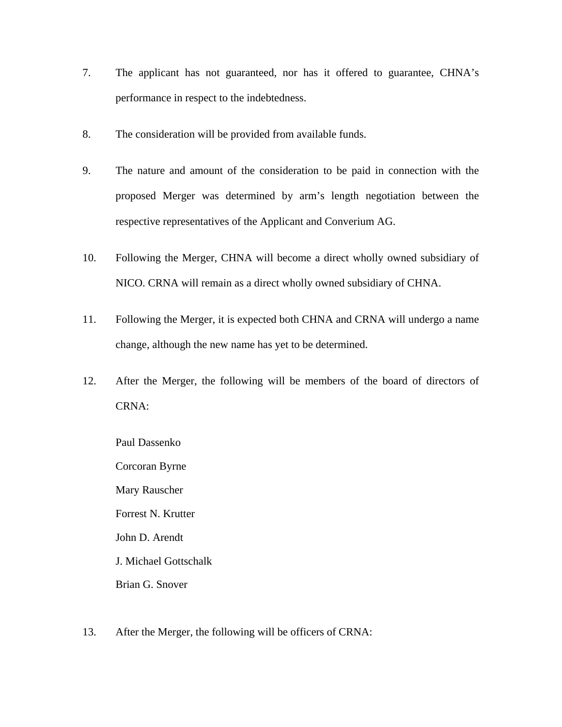- 7. The applicant has not guaranteed, nor has it offered to guarantee, CHNA's performance in respect to the indebtedness.
- 8. The consideration will be provided from available funds.
- 9. The nature and amount of the consideration to be paid in connection with the proposed Merger was determined by arm's length negotiation between the respective representatives of the Applicant and Converium AG.
- 10. Following the Merger, CHNA will become a direct wholly owned subsidiary of NICO. CRNA will remain as a direct wholly owned subsidiary of CHNA.
- 11. Following the Merger, it is expected both CHNA and CRNA will undergo a name change, although the new name has yet to be determined.
- 12. After the Merger, the following will be members of the board of directors of CRNA:

Paul Dassenko Corcoran Byrne Mary Rauscher Forrest N. Krutter John D. Arendt J. Michael Gottschalk Brian G. Snover

13. After the Merger, the following will be officers of CRNA: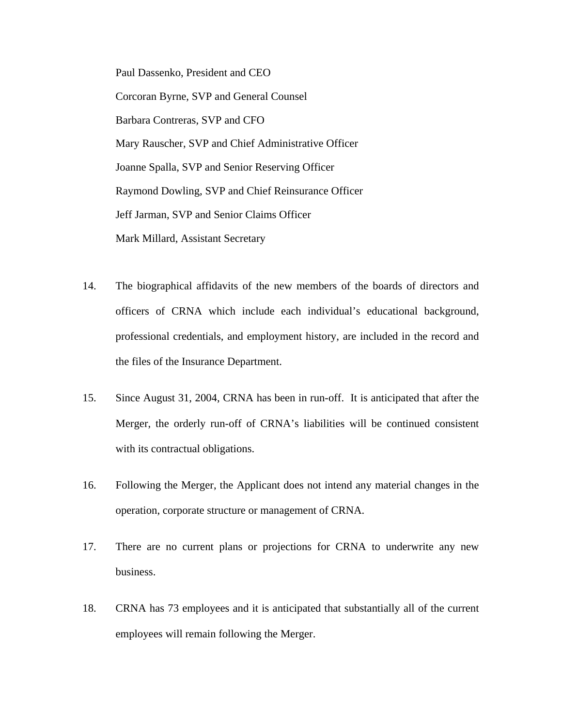Paul Dassenko, President and CEO Corcoran Byrne, SVP and General Counsel Barbara Contreras, SVP and CFO Mary Rauscher, SVP and Chief Administrative Officer Joanne Spalla, SVP and Senior Reserving Officer Raymond Dowling, SVP and Chief Reinsurance Officer Jeff Jarman, SVP and Senior Claims Officer Mark Millard, Assistant Secretary

- 14. The biographical affidavits of the new members of the boards of directors and officers of CRNA which include each individual's educational background, professional credentials, and employment history, are included in the record and the files of the Insurance Department.
- 15. Since August 31, 2004, CRNA has been in run-off. It is anticipated that after the Merger, the orderly run-off of CRNA's liabilities will be continued consistent with its contractual obligations.
- 16. Following the Merger, the Applicant does not intend any material changes in the operation, corporate structure or management of CRNA.
- 17. There are no current plans or projections for CRNA to underwrite any new business.
- 18. CRNA has 73 employees and it is anticipated that substantially all of the current employees will remain following the Merger.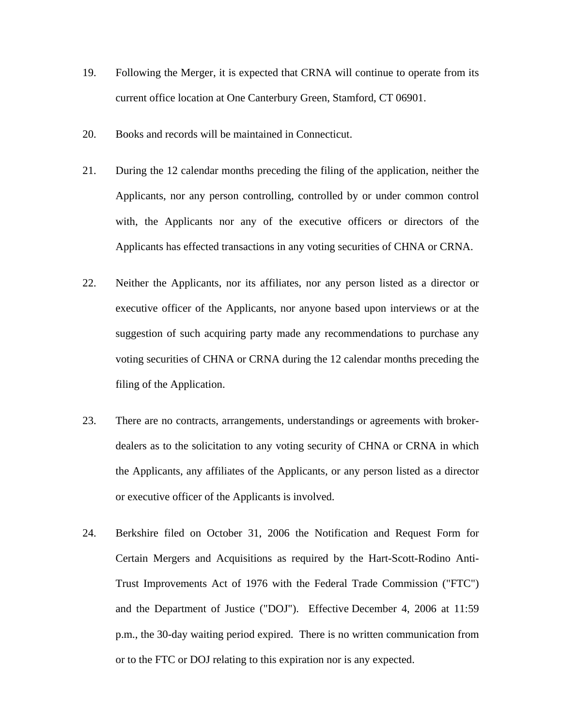- 19. Following the Merger, it is expected that CRNA will continue to operate from its current office location at One Canterbury Green, Stamford, CT 06901.
- 20. Books and records will be maintained in Connecticut.
- 21. During the 12 calendar months preceding the filing of the application, neither the Applicants, nor any person controlling, controlled by or under common control with, the Applicants nor any of the executive officers or directors of the Applicants has effected transactions in any voting securities of CHNA or CRNA.
- 22. Neither the Applicants, nor its affiliates, nor any person listed as a director or executive officer of the Applicants, nor anyone based upon interviews or at the suggestion of such acquiring party made any recommendations to purchase any voting securities of CHNA or CRNA during the 12 calendar months preceding the filing of the Application.
- 23. There are no contracts, arrangements, understandings or agreements with brokerdealers as to the solicitation to any voting security of CHNA or CRNA in which the Applicants, any affiliates of the Applicants, or any person listed as a director or executive officer of the Applicants is involved.
- 24. Berkshire filed on October 31, 2006 the Notification and Request Form for Certain Mergers and Acquisitions as required by the Hart-Scott-Rodino Anti-Trust Improvements Act of 1976 with the Federal Trade Commission ("FTC") and the Department of Justice ("DOJ"). Effective December 4, 2006 at 11:59 p.m., the 30-day waiting period expired. There is no written communication from or to the FTC or DOJ relating to this expiration nor is any expected.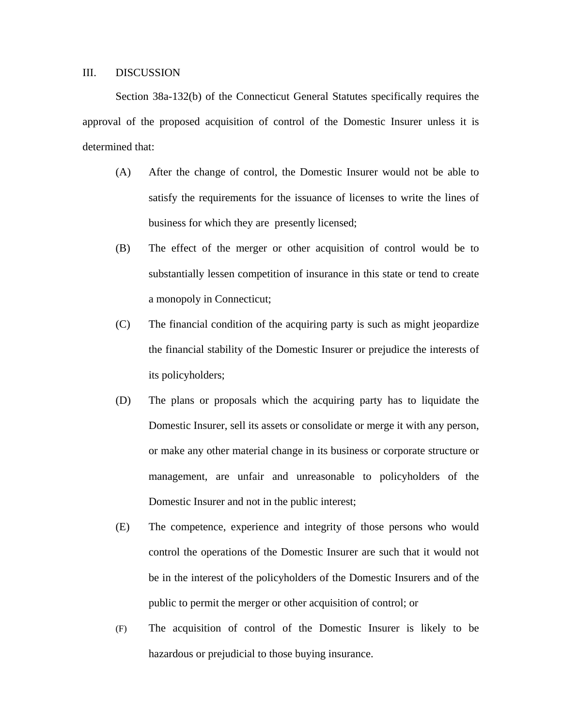## III. DISCUSSION

Section 38a-132(b) of the Connecticut General Statutes specifically requires the approval of the proposed acquisition of control of the Domestic Insurer unless it is determined that:

- (A) After the change of control, the Domestic Insurer would not be able to satisfy the requirements for the issuance of licenses to write the lines of business for which they are presently licensed;
- (B) The effect of the merger or other acquisition of control would be to substantially lessen competition of insurance in this state or tend to create a monopoly in Connecticut;
- (C) The financial condition of the acquiring party is such as might jeopardize the financial stability of the Domestic Insurer or prejudice the interests of its policyholders;
- (D) The plans or proposals which the acquiring party has to liquidate the Domestic Insurer, sell its assets or consolidate or merge it with any person, or make any other material change in its business or corporate structure or management, are unfair and unreasonable to policyholders of the Domestic Insurer and not in the public interest;
- (E) The competence, experience and integrity of those persons who would control the operations of the Domestic Insurer are such that it would not be in the interest of the policyholders of the Domestic Insurers and of the public to permit the merger or other acquisition of control; or
- (F) The acquisition of control of the Domestic Insurer is likely to be hazardous or prejudicial to those buying insurance.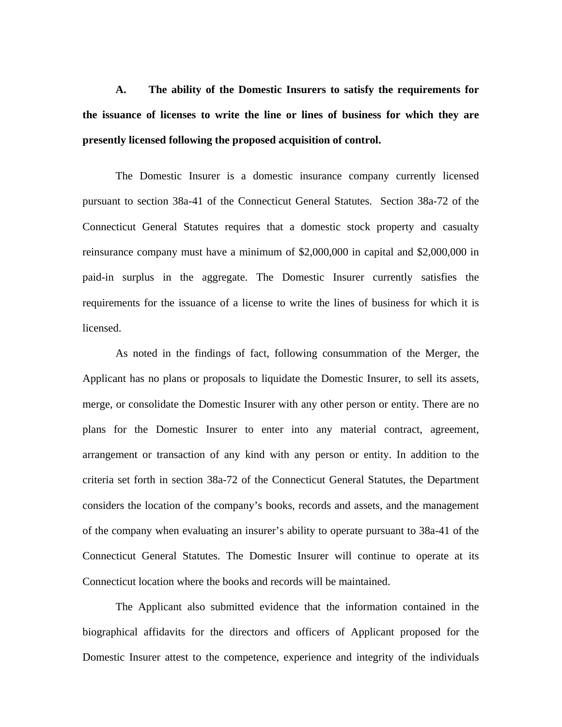**A. The ability of the Domestic Insurers to satisfy the requirements for the issuance of licenses to write the line or lines of business for which they are presently licensed following the proposed acquisition of control.**

The Domestic Insurer is a domestic insurance company currently licensed pursuant to section 38a-41 of the Connecticut General Statutes. Section 38a-72 of the Connecticut General Statutes requires that a domestic stock property and casualty reinsurance company must have a minimum of \$2,000,000 in capital and \$2,000,000 in paid-in surplus in the aggregate. The Domestic Insurer currently satisfies the requirements for the issuance of a license to write the lines of business for which it is licensed.

As noted in the findings of fact, following consummation of the Merger, the Applicant has no plans or proposals to liquidate the Domestic Insurer, to sell its assets, merge, or consolidate the Domestic Insurer with any other person or entity. There are no plans for the Domestic Insurer to enter into any material contract, agreement, arrangement or transaction of any kind with any person or entity. In addition to the criteria set forth in section 38a-72 of the Connecticut General Statutes, the Department considers the location of the company's books, records and assets, and the management of the company when evaluating an insurer's ability to operate pursuant to 38a-41 of the Connecticut General Statutes. The Domestic Insurer will continue to operate at its Connecticut location where the books and records will be maintained.

The Applicant also submitted evidence that the information contained in the biographical affidavits for the directors and officers of Applicant proposed for the Domestic Insurer attest to the competence, experience and integrity of the individuals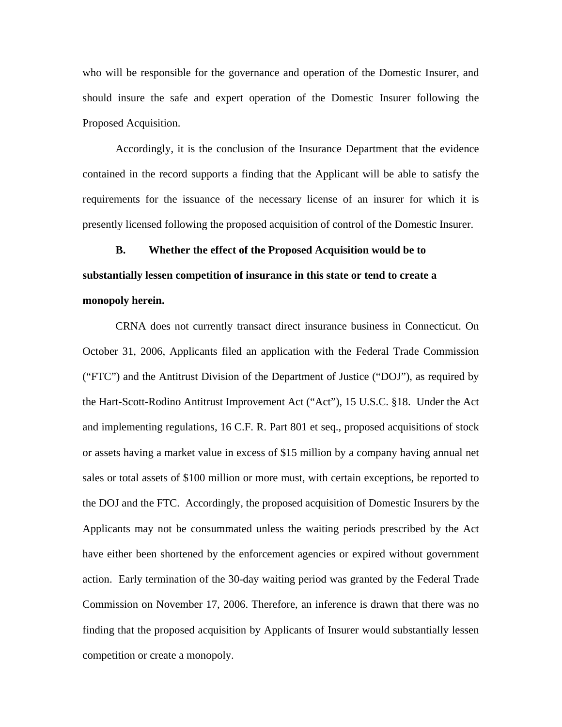who will be responsible for the governance and operation of the Domestic Insurer, and should insure the safe and expert operation of the Domestic Insurer following the Proposed Acquisition.

Accordingly, it is the conclusion of the Insurance Department that the evidence contained in the record supports a finding that the Applicant will be able to satisfy the requirements for the issuance of the necessary license of an insurer for which it is presently licensed following the proposed acquisition of control of the Domestic Insurer.

# **B. Whether the effect of the Proposed Acquisition would be to substantially lessen competition of insurance in this state or tend to create a monopoly herein.**

CRNA does not currently transact direct insurance business in Connecticut. On October 31, 2006, Applicants filed an application with the Federal Trade Commission ("FTC") and the Antitrust Division of the Department of Justice ("DOJ"), as required by the Hart-Scott-Rodino Antitrust Improvement Act ("Act"), 15 U.S.C. §18. Under the Act and implementing regulations, 16 C.F. R. Part 801 et seq., proposed acquisitions of stock or assets having a market value in excess of \$15 million by a company having annual net sales or total assets of \$100 million or more must, with certain exceptions, be reported to the DOJ and the FTC. Accordingly, the proposed acquisition of Domestic Insurers by the Applicants may not be consummated unless the waiting periods prescribed by the Act have either been shortened by the enforcement agencies or expired without government action. Early termination of the 30-day waiting period was granted by the Federal Trade Commission on November 17, 2006. Therefore, an inference is drawn that there was no finding that the proposed acquisition by Applicants of Insurer would substantially lessen competition or create a monopoly.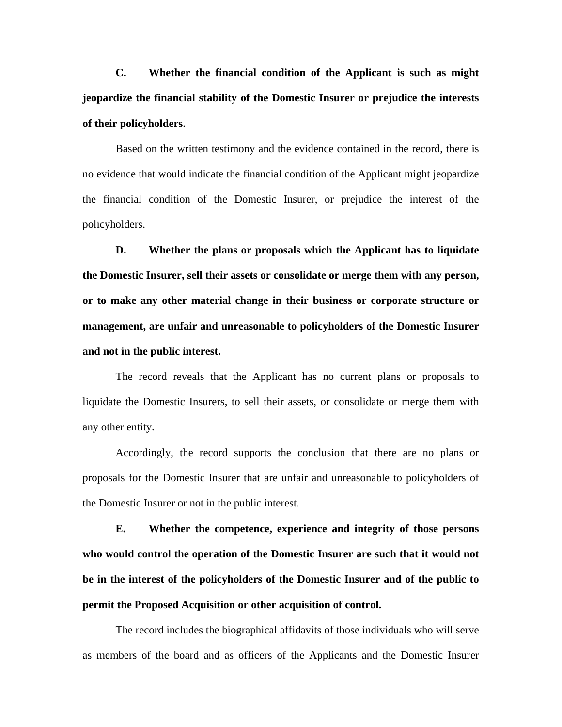**C. Whether the financial condition of the Applicant is such as might jeopardize the financial stability of the Domestic Insurer or prejudice the interests of their policyholders.**

 Based on the written testimony and the evidence contained in the record, there is no evidence that would indicate the financial condition of the Applicant might jeopardize the financial condition of the Domestic Insurer, or prejudice the interest of the policyholders.

**D. Whether the plans or proposals which the Applicant has to liquidate the Domestic Insurer, sell their assets or consolidate or merge them with any person, or to make any other material change in their business or corporate structure or management, are unfair and unreasonable to policyholders of the Domestic Insurer and not in the public interest.**

The record reveals that the Applicant has no current plans or proposals to liquidate the Domestic Insurers, to sell their assets, or consolidate or merge them with any other entity.

Accordingly, the record supports the conclusion that there are no plans or proposals for the Domestic Insurer that are unfair and unreasonable to policyholders of the Domestic Insurer or not in the public interest.

**E. Whether the competence, experience and integrity of those persons who would control the operation of the Domestic Insurer are such that it would not be in the interest of the policyholders of the Domestic Insurer and of the public to permit the Proposed Acquisition or other acquisition of control.**

The record includes the biographical affidavits of those individuals who will serve as members of the board and as officers of the Applicants and the Domestic Insurer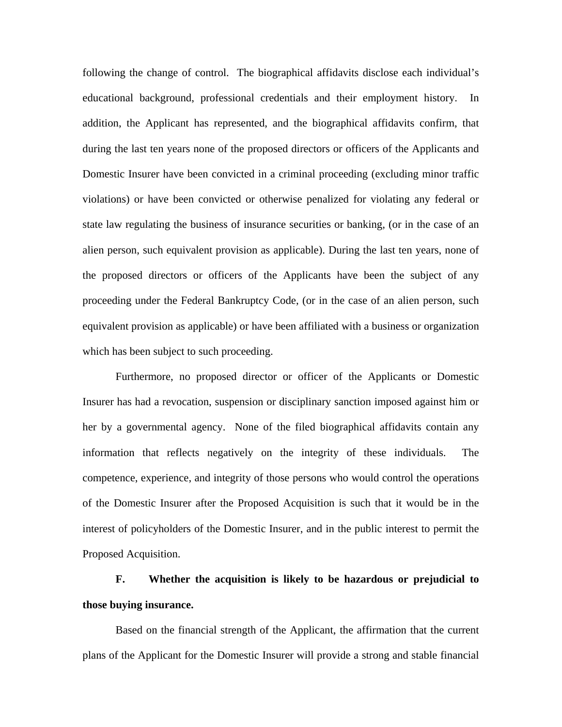following the change of control. The biographical affidavits disclose each individual's educational background, professional credentials and their employment history. In addition, the Applicant has represented, and the biographical affidavits confirm, that during the last ten years none of the proposed directors or officers of the Applicants and Domestic Insurer have been convicted in a criminal proceeding (excluding minor traffic violations) or have been convicted or otherwise penalized for violating any federal or state law regulating the business of insurance securities or banking, (or in the case of an alien person, such equivalent provision as applicable). During the last ten years, none of the proposed directors or officers of the Applicants have been the subject of any proceeding under the Federal Bankruptcy Code, (or in the case of an alien person, such equivalent provision as applicable) or have been affiliated with a business or organization which has been subject to such proceeding.

Furthermore, no proposed director or officer of the Applicants or Domestic Insurer has had a revocation, suspension or disciplinary sanction imposed against him or her by a governmental agency. None of the filed biographical affidavits contain any information that reflects negatively on the integrity of these individuals. The competence, experience, and integrity of those persons who would control the operations of the Domestic Insurer after the Proposed Acquisition is such that it would be in the interest of policyholders of the Domestic Insurer, and in the public interest to permit the Proposed Acquisition.

# **F. Whether the acquisition is likely to be hazardous or prejudicial to those buying insurance.**

Based on the financial strength of the Applicant, the affirmation that the current plans of the Applicant for the Domestic Insurer will provide a strong and stable financial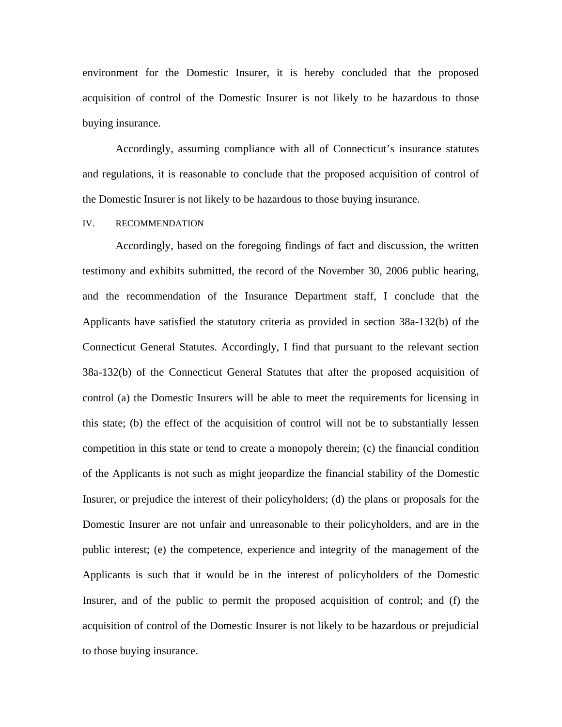environment for the Domestic Insurer, it is hereby concluded that the proposed acquisition of control of the Domestic Insurer is not likely to be hazardous to those buying insurance.

Accordingly, assuming compliance with all of Connecticut's insurance statutes and regulations, it is reasonable to conclude that the proposed acquisition of control of the Domestic Insurer is not likely to be hazardous to those buying insurance.

#### IV. RECOMMENDATION

Accordingly, based on the foregoing findings of fact and discussion, the written testimony and exhibits submitted, the record of the November 30, 2006 public hearing, and the recommendation of the Insurance Department staff, I conclude that the Applicants have satisfied the statutory criteria as provided in section 38a-132(b) of the Connecticut General Statutes. Accordingly, I find that pursuant to the relevant section 38a-132(b) of the Connecticut General Statutes that after the proposed acquisition of control (a) the Domestic Insurers will be able to meet the requirements for licensing in this state; (b) the effect of the acquisition of control will not be to substantially lessen competition in this state or tend to create a monopoly therein; (c) the financial condition of the Applicants is not such as might jeopardize the financial stability of the Domestic Insurer, or prejudice the interest of their policyholders; (d) the plans or proposals for the Domestic Insurer are not unfair and unreasonable to their policyholders, and are in the public interest; (e) the competence, experience and integrity of the management of the Applicants is such that it would be in the interest of policyholders of the Domestic Insurer, and of the public to permit the proposed acquisition of control; and (f) the acquisition of control of the Domestic Insurer is not likely to be hazardous or prejudicial to those buying insurance.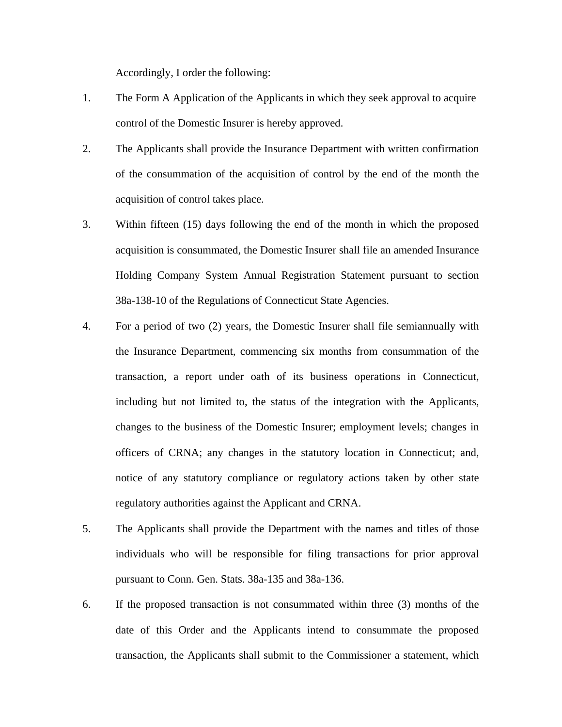Accordingly, I order the following:

- 1. The Form A Application of the Applicants in which they seek approval to acquire control of the Domestic Insurer is hereby approved.
- 2. The Applicants shall provide the Insurance Department with written confirmation of the consummation of the acquisition of control by the end of the month the acquisition of control takes place.
- 3. Within fifteen (15) days following the end of the month in which the proposed acquisition is consummated, the Domestic Insurer shall file an amended Insurance Holding Company System Annual Registration Statement pursuant to section 38a-138-10 of the Regulations of Connecticut State Agencies.
- 4. For a period of two (2) years, the Domestic Insurer shall file semiannually with the Insurance Department, commencing six months from consummation of the transaction, a report under oath of its business operations in Connecticut, including but not limited to, the status of the integration with the Applicants, changes to the business of the Domestic Insurer; employment levels; changes in officers of CRNA; any changes in the statutory location in Connecticut; and, notice of any statutory compliance or regulatory actions taken by other state regulatory authorities against the Applicant and CRNA.
- 5. The Applicants shall provide the Department with the names and titles of those individuals who will be responsible for filing transactions for prior approval pursuant to Conn. Gen. Stats. 38a-135 and 38a-136.
- 6. If the proposed transaction is not consummated within three (3) months of the date of this Order and the Applicants intend to consummate the proposed transaction, the Applicants shall submit to the Commissioner a statement, which